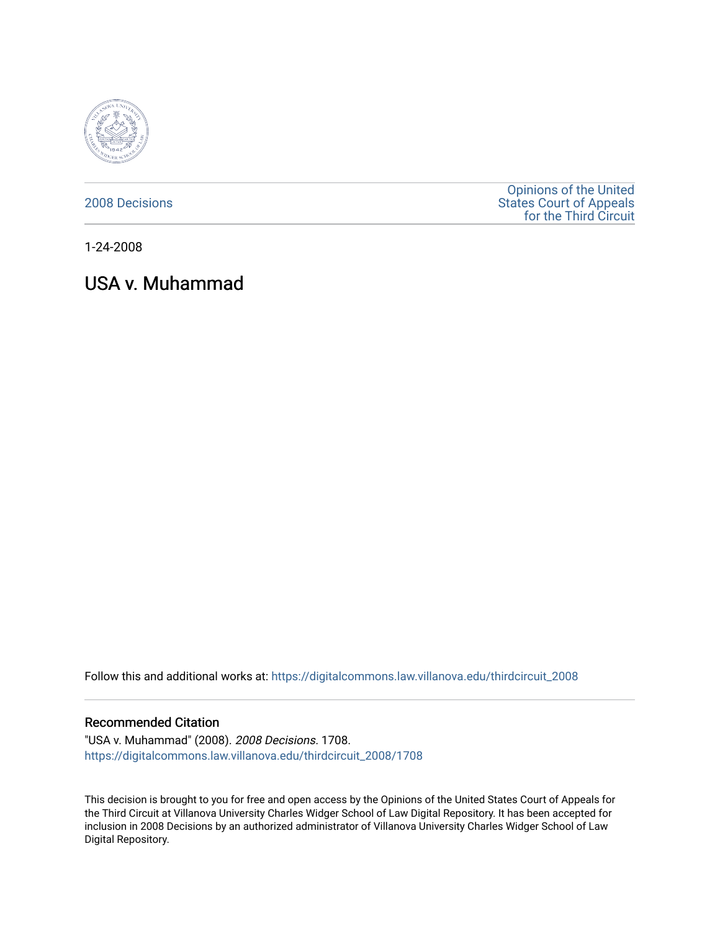

[2008 Decisions](https://digitalcommons.law.villanova.edu/thirdcircuit_2008)

[Opinions of the United](https://digitalcommons.law.villanova.edu/thirdcircuit)  [States Court of Appeals](https://digitalcommons.law.villanova.edu/thirdcircuit)  [for the Third Circuit](https://digitalcommons.law.villanova.edu/thirdcircuit) 

1-24-2008

# USA v. Muhammad

Follow this and additional works at: [https://digitalcommons.law.villanova.edu/thirdcircuit\\_2008](https://digitalcommons.law.villanova.edu/thirdcircuit_2008?utm_source=digitalcommons.law.villanova.edu%2Fthirdcircuit_2008%2F1708&utm_medium=PDF&utm_campaign=PDFCoverPages) 

#### Recommended Citation

"USA v. Muhammad" (2008). 2008 Decisions. 1708. [https://digitalcommons.law.villanova.edu/thirdcircuit\\_2008/1708](https://digitalcommons.law.villanova.edu/thirdcircuit_2008/1708?utm_source=digitalcommons.law.villanova.edu%2Fthirdcircuit_2008%2F1708&utm_medium=PDF&utm_campaign=PDFCoverPages) 

This decision is brought to you for free and open access by the Opinions of the United States Court of Appeals for the Third Circuit at Villanova University Charles Widger School of Law Digital Repository. It has been accepted for inclusion in 2008 Decisions by an authorized administrator of Villanova University Charles Widger School of Law Digital Repository.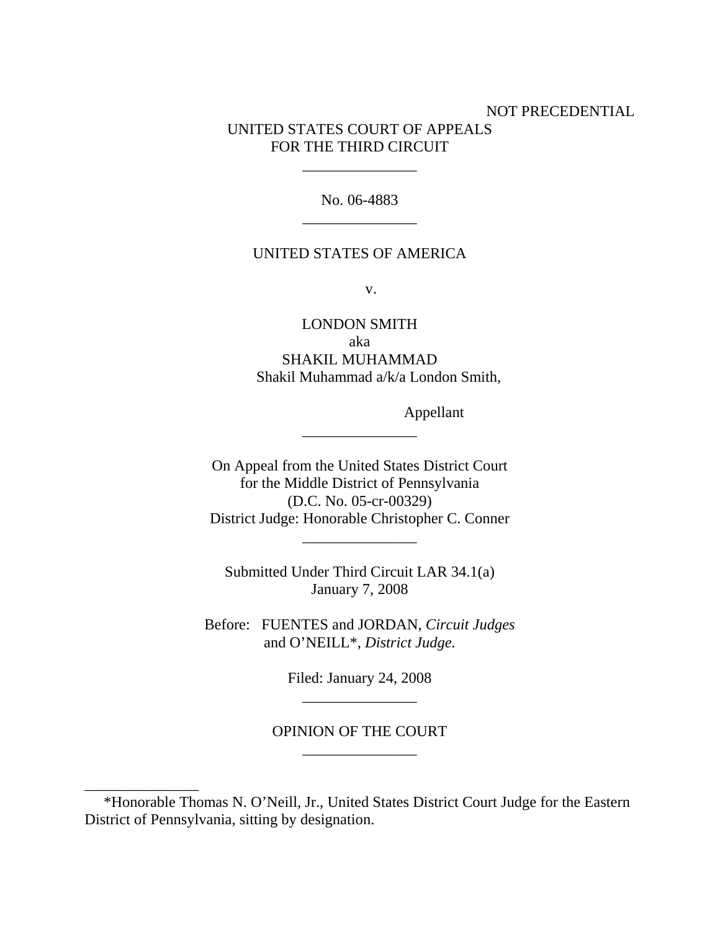# NOT PRECEDENTIAL UNITED STATES COURT OF APPEALS FOR THE THIRD CIRCUIT

No. 06-4883 \_\_\_\_\_\_\_\_\_\_\_\_\_\_\_

\_\_\_\_\_\_\_\_\_\_\_\_\_\_\_

### UNITED STATES OF AMERICA

v.

LONDON SMITH aka SHAKIL MUHAMMAD Shakil Muhammad a/k/a London Smith,

Appellant

On Appeal from the United States District Court for the Middle District of Pennsylvania (D.C. No. 05-cr-00329) District Judge: Honorable Christopher C. Conner

\_\_\_\_\_\_\_\_\_\_\_\_\_\_\_

Submitted Under Third Circuit LAR 34.1(a) January 7, 2008

\_\_\_\_\_\_\_\_\_\_\_\_\_\_\_

Before: FUENTES and JORDAN, *Circuit Judges* and O'NEILL\*, *District Judge.*

> Filed: January 24, 2008 \_\_\_\_\_\_\_\_\_\_\_\_\_\_\_

OPINION OF THE COURT \_\_\_\_\_\_\_\_\_\_\_\_\_\_\_

\_\_\_\_\_\_\_\_\_\_\_\_\_\_\_

 <sup>\*</sup>Honorable Thomas N. O'Neill, Jr., United States District Court Judge for the Eastern District of Pennsylvania, sitting by designation.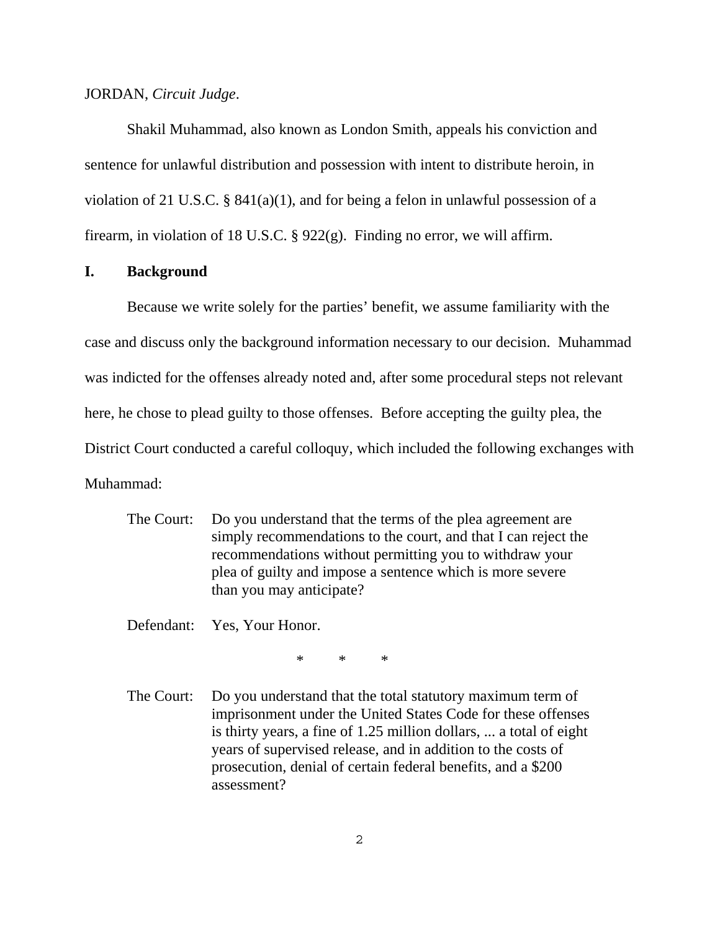JORDAN, *Circuit Judge*.

Shakil Muhammad, also known as London Smith, appeals his conviction and sentence for unlawful distribution and possession with intent to distribute heroin, in violation of 21 U.S.C. § 841(a)(1), and for being a felon in unlawful possession of a firearm, in violation of 18 U.S.C. § 922(g). Finding no error, we will affirm.

#### **I. Background**

Because we write solely for the parties' benefit, we assume familiarity with the case and discuss only the background information necessary to our decision. Muhammad was indicted for the offenses already noted and, after some procedural steps not relevant here, he chose to plead guilty to those offenses. Before accepting the guilty plea, the District Court conducted a careful colloquy, which included the following exchanges with Muhammad:

The Court: Do you understand that the terms of the plea agreement are simply recommendations to the court, and that I can reject the recommendations without permitting you to withdraw your plea of guilty and impose a sentence which is more severe than you may anticipate?

Defendant: Yes, Your Honor.

\*\*\*

The Court: Do you understand that the total statutory maximum term of imprisonment under the United States Code for these offenses is thirty years, a fine of 1.25 million dollars, ... a total of eight years of supervised release, and in addition to the costs of prosecution, denial of certain federal benefits, and a \$200 assessment?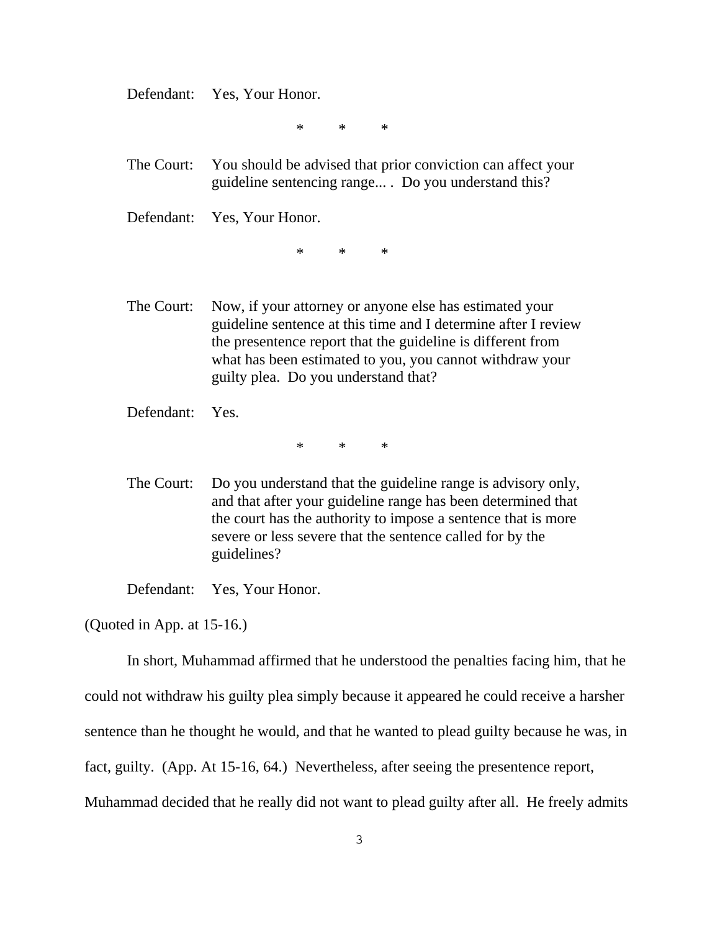Defendant: Yes, Your Honor.

\*\*\*

The Court: You should be advised that prior conviction can affect your guideline sentencing range... . Do you understand this?

Defendant: Yes, Your Honor.

\*\*\*

The Court: Now, if your attorney or anyone else has estimated your guideline sentence at this time and I determine after I review the presentence report that the guideline is different from what has been estimated to you, you cannot withdraw your guilty plea. Do you understand that?

Defendant: Yes.

\*\*\*

The Court: Do you understand that the guideline range is advisory only, and that after your guideline range has been determined that the court has the authority to impose a sentence that is more severe or less severe that the sentence called for by the guidelines?

Defendant: Yes, Your Honor.

(Quoted in App. at 15-16.)

In short, Muhammad affirmed that he understood the penalties facing him, that he could not withdraw his guilty plea simply because it appeared he could receive a harsher sentence than he thought he would, and that he wanted to plead guilty because he was, in fact, guilty. (App. At 15-16, 64.) Nevertheless, after seeing the presentence report, Muhammad decided that he really did not want to plead guilty after all. He freely admits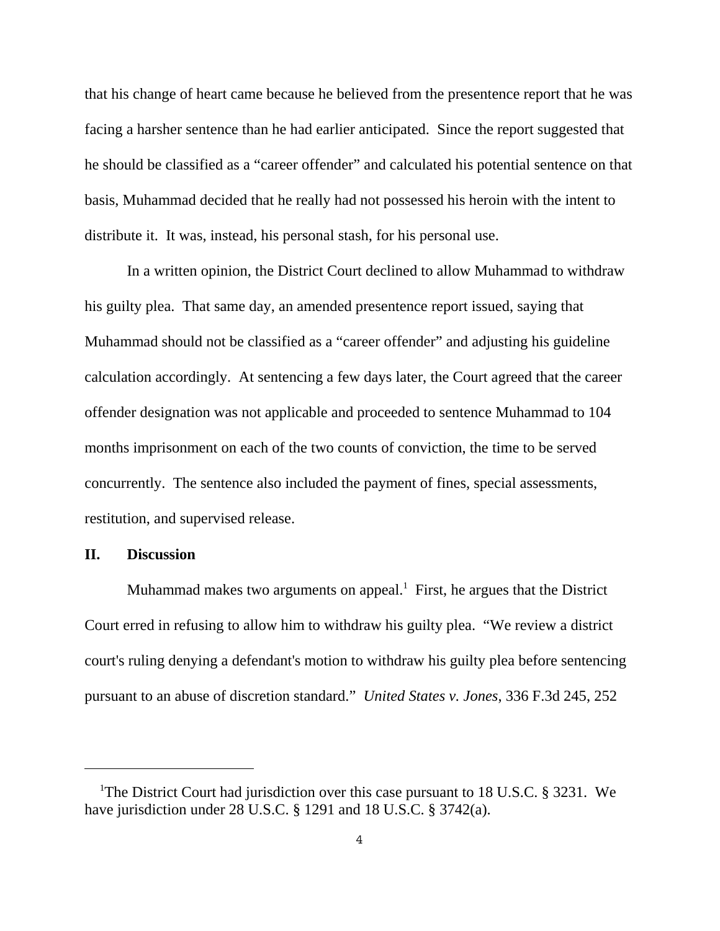that his change of heart came because he believed from the presentence report that he was facing a harsher sentence than he had earlier anticipated. Since the report suggested that he should be classified as a "career offender" and calculated his potential sentence on that basis, Muhammad decided that he really had not possessed his heroin with the intent to distribute it. It was, instead, his personal stash, for his personal use.

In a written opinion, the District Court declined to allow Muhammad to withdraw his guilty plea. That same day, an amended presentence report issued, saying that Muhammad should not be classified as a "career offender" and adjusting his guideline calculation accordingly. At sentencing a few days later, the Court agreed that the career offender designation was not applicable and proceeded to sentence Muhammad to 104 months imprisonment on each of the two counts of conviction, the time to be served concurrently. The sentence also included the payment of fines, special assessments, restitution, and supervised release.

#### **II. Discussion**

Muhammad makes two arguments on appeal.<sup>1</sup> First, he argues that the District Court erred in refusing to allow him to withdraw his guilty plea. "We review a district court's ruling denying a defendant's motion to withdraw his guilty plea before sentencing pursuant to an abuse of discretion standard." *United States v. Jones*, 336 F.3d 245, 252

<sup>&</sup>lt;sup>1</sup>The District Court had jurisdiction over this case pursuant to 18 U.S.C. § 3231. We have jurisdiction under 28 U.S.C. § 1291 and 18 U.S.C. § 3742(a).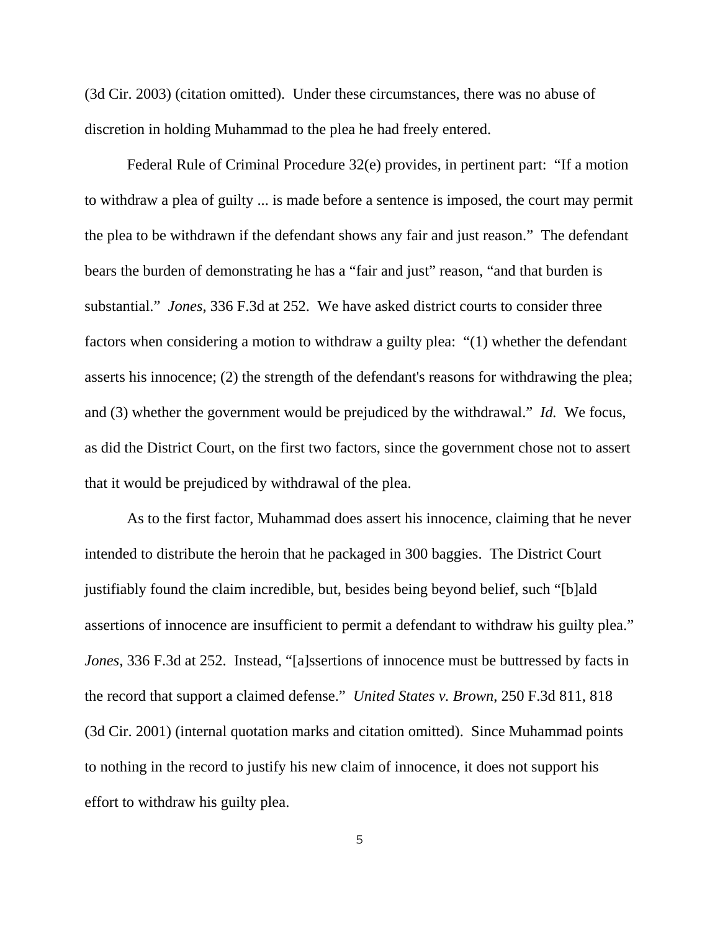(3d Cir. 2003) (citation omitted). Under these circumstances, there was no abuse of discretion in holding Muhammad to the plea he had freely entered.

Federal Rule of Criminal Procedure 32(e) provides, in pertinent part: "If a motion to withdraw a plea of guilty ... is made before a sentence is imposed, the court may permit the plea to be withdrawn if the defendant shows any fair and just reason." The defendant bears the burden of demonstrating he has a "fair and just" reason, "and that burden is substantial." *Jones*, 336 F.3d at 252. We have asked district courts to consider three factors when considering a motion to withdraw a guilty plea: "(1) whether the defendant asserts his innocence; (2) the strength of the defendant's reasons for withdrawing the plea; and (3) whether the government would be prejudiced by the withdrawal." *Id.* We focus, as did the District Court, on the first two factors, since the government chose not to assert that it would be prejudiced by withdrawal of the plea.

As to the first factor, Muhammad does assert his innocence, claiming that he never intended to distribute the heroin that he packaged in 300 baggies. The District Court justifiably found the claim incredible, but, besides being beyond belief, such "[b]ald assertions of innocence are insufficient to permit a defendant to withdraw his guilty plea." *Jones*, 336 F.3d at 252. Instead, "[a]ssertions of innocence must be buttressed by facts in the record that support a claimed defense." *United States v. Brown*, 250 F.3d 811, 818 (3d Cir. 2001) (internal quotation marks and citation omitted). Since Muhammad points to nothing in the record to justify his new claim of innocence, it does not support his effort to withdraw his guilty plea.

5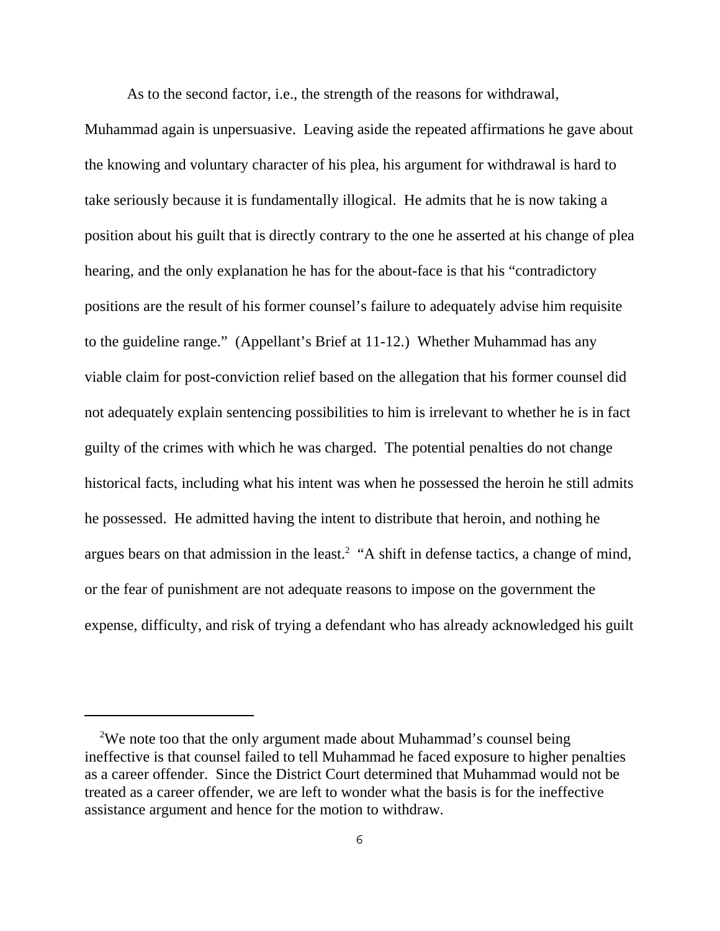As to the second factor, i.e., the strength of the reasons for withdrawal,

Muhammad again is unpersuasive. Leaving aside the repeated affirmations he gave about the knowing and voluntary character of his plea, his argument for withdrawal is hard to take seriously because it is fundamentally illogical. He admits that he is now taking a position about his guilt that is directly contrary to the one he asserted at his change of plea hearing, and the only explanation he has for the about-face is that his "contradictory positions are the result of his former counsel's failure to adequately advise him requisite to the guideline range." (Appellant's Brief at 11-12.) Whether Muhammad has any viable claim for post-conviction relief based on the allegation that his former counsel did not adequately explain sentencing possibilities to him is irrelevant to whether he is in fact guilty of the crimes with which he was charged. The potential penalties do not change historical facts, including what his intent was when he possessed the heroin he still admits he possessed. He admitted having the intent to distribute that heroin, and nothing he argues bears on that admission in the least.<sup>2</sup> "A shift in defense tactics, a change of mind, or the fear of punishment are not adequate reasons to impose on the government the expense, difficulty, and risk of trying a defendant who has already acknowledged his guilt

<sup>&</sup>lt;sup>2</sup>We note too that the only argument made about Muhammad's counsel being ineffective is that counsel failed to tell Muhammad he faced exposure to higher penalties as a career offender. Since the District Court determined that Muhammad would not be treated as a career offender, we are left to wonder what the basis is for the ineffective assistance argument and hence for the motion to withdraw.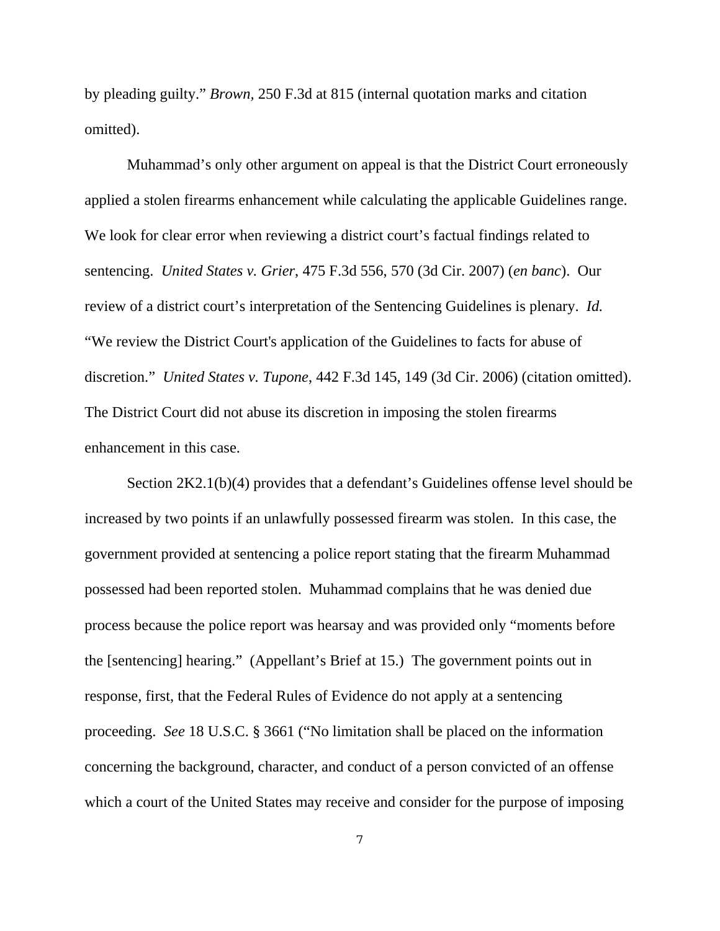by pleading guilty." *Brown,* 250 F.3d at 815 (internal quotation marks and citation omitted).

Muhammad's only other argument on appeal is that the District Court erroneously applied a stolen firearms enhancement while calculating the applicable Guidelines range. We look for clear error when reviewing a district court's factual findings related to sentencing. *United States v. Grier*, 475 F.3d 556, 570 (3d Cir. 2007) (*en banc*). Our review of a district court's interpretation of the Sentencing Guidelines is plenary. *Id.* "We review the District Court's application of the Guidelines to facts for abuse of discretion." *United States v. Tupone*, 442 F.3d 145, 149 (3d Cir. 2006) (citation omitted). The District Court did not abuse its discretion in imposing the stolen firearms enhancement in this case.

Section 2K2.1(b)(4) provides that a defendant's Guidelines offense level should be increased by two points if an unlawfully possessed firearm was stolen. In this case, the government provided at sentencing a police report stating that the firearm Muhammad possessed had been reported stolen. Muhammad complains that he was denied due process because the police report was hearsay and was provided only "moments before the [sentencing] hearing." (Appellant's Brief at 15.) The government points out in response, first, that the Federal Rules of Evidence do not apply at a sentencing proceeding. *See* 18 U.S.C. § 3661 ("No limitation shall be placed on the information concerning the background, character, and conduct of a person convicted of an offense which a court of the United States may receive and consider for the purpose of imposing